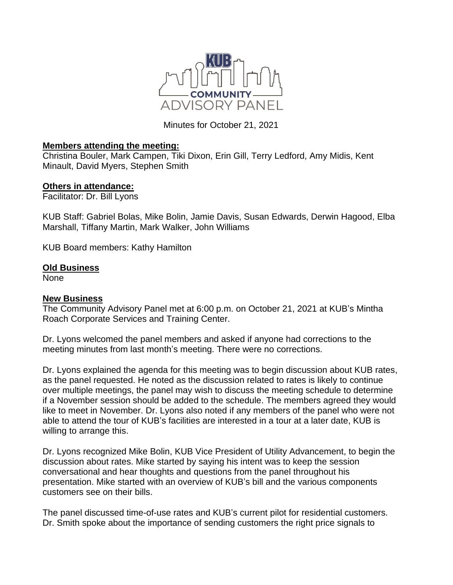

Minutes for October 21, 2021

## **Members attending the meeting:**

Christina Bouler, Mark Campen, Tiki Dixon, Erin Gill, Terry Ledford, Amy Midis, Kent Minault, David Myers, Stephen Smith

## **Others in attendance:**

Facilitator: Dr. Bill Lyons

KUB Staff: Gabriel Bolas, Mike Bolin, Jamie Davis, Susan Edwards, Derwin Hagood, Elba Marshall, Tiffany Martin, Mark Walker, John Williams

KUB Board members: Kathy Hamilton

## **Old Business**

None

## **New Business**

The Community Advisory Panel met at 6:00 p.m. on October 21, 2021 at KUB's Mintha Roach Corporate Services and Training Center.

Dr. Lyons welcomed the panel members and asked if anyone had corrections to the meeting minutes from last month's meeting. There were no corrections.

Dr. Lyons explained the agenda for this meeting was to begin discussion about KUB rates, as the panel requested. He noted as the discussion related to rates is likely to continue over multiple meetings, the panel may wish to discuss the meeting schedule to determine if a November session should be added to the schedule. The members agreed they would like to meet in November. Dr. Lyons also noted if any members of the panel who were not able to attend the tour of KUB's facilities are interested in a tour at a later date, KUB is willing to arrange this.

Dr. Lyons recognized Mike Bolin, KUB Vice President of Utility Advancement, to begin the discussion about rates. Mike started by saying his intent was to keep the session conversational and hear thoughts and questions from the panel throughout his presentation. Mike started with an overview of KUB's bill and the various components customers see on their bills.

The panel discussed time-of-use rates and KUB's current pilot for residential customers. Dr. Smith spoke about the importance of sending customers the right price signals to